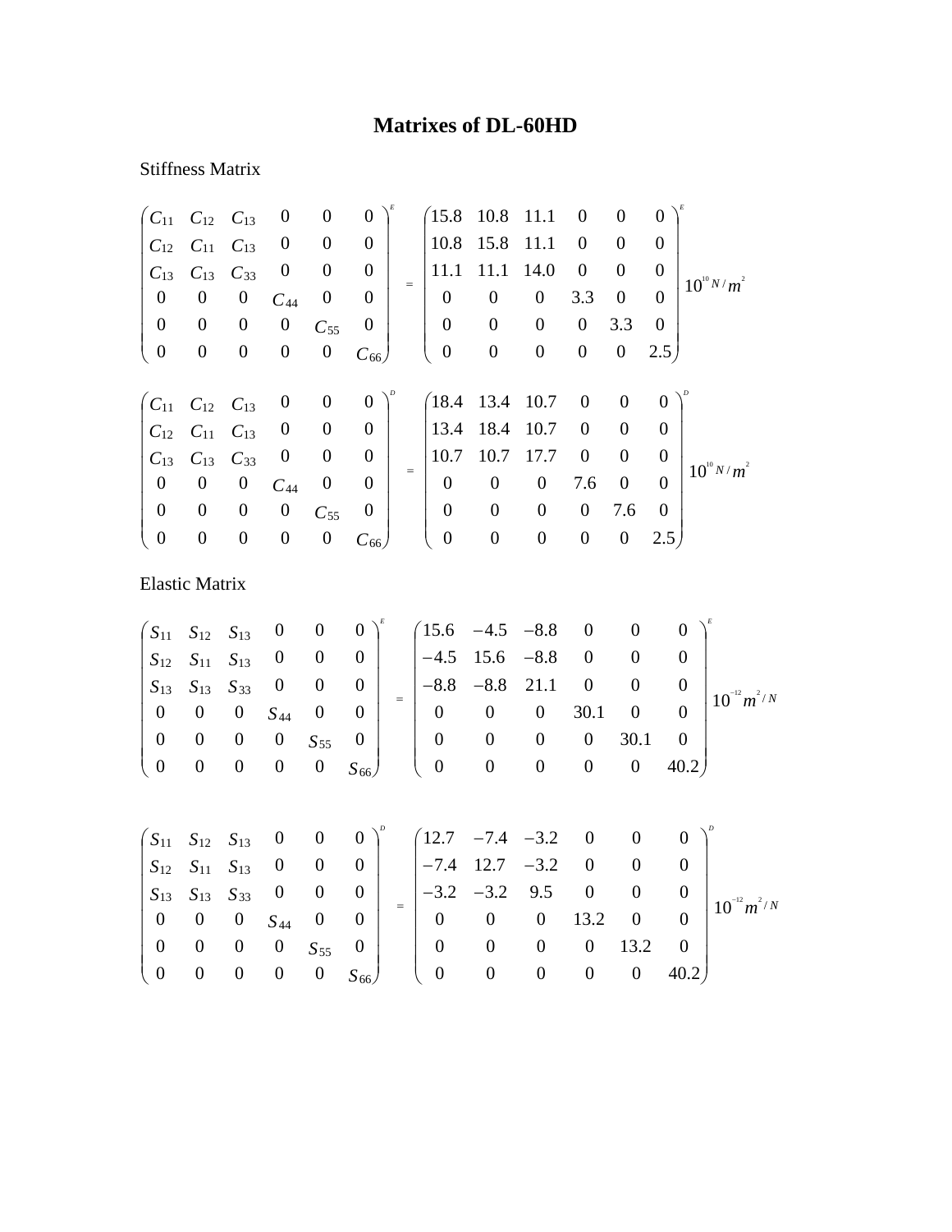## **Matrixes of DL-60HD**

## Stiffness Matrix

| $C_{11}$         | $C_{12}$              | $C_{13}$         | $\boldsymbol{0}$ | $\boldsymbol{0}$ | $\boldsymbol{0}$ |     | 15.8             | 10.8             | 11.1                                    | $\boldsymbol{0}$ | $\boldsymbol{0}$ | $\boldsymbol{0}$ |                                    |
|------------------|-----------------------|------------------|------------------|------------------|------------------|-----|------------------|------------------|-----------------------------------------|------------------|------------------|------------------|------------------------------------|
| $C_{12}$         | $C_{11}$              | $C_{13}$         | $\boldsymbol{0}$ | $\boldsymbol{0}$ | $\boldsymbol{0}$ |     | 10.8             | 15.8             | 11.1                                    | $\boldsymbol{0}$ | $\boldsymbol{0}$ | $\boldsymbol{0}$ |                                    |
| $C_{13}$         | $C_{13}$              | $C_{33}$         | $\boldsymbol{0}$ | $\boldsymbol{0}$ | $\boldsymbol{0}$ |     | 11.1             | 11.1             | 14.0                                    | $\boldsymbol{0}$ | $\boldsymbol{0}$ | $\overline{0}$   |                                    |
| $\boldsymbol{0}$ | $\boldsymbol{0}$      | $\boldsymbol{0}$ | $C_{44}$         | $\boldsymbol{0}$ | $\boldsymbol{0}$ | $=$ | $\boldsymbol{0}$ | $\boldsymbol{0}$ | $\boldsymbol{0}$                        | 3.3              | $\boldsymbol{0}$ | $\theta$         | $10^{10} N/m^2$                    |
| $\boldsymbol{0}$ | $\boldsymbol{0}$      | $\boldsymbol{0}$ | $\boldsymbol{0}$ | $C_{55}$         | $\boldsymbol{0}$ |     | $\boldsymbol{0}$ | $\boldsymbol{0}$ | $\boldsymbol{0}$                        | $\boldsymbol{0}$ | 3.3              | $\overline{0}$   |                                    |
| $\boldsymbol{0}$ | $\boldsymbol{0}$      | $\boldsymbol{0}$ | $\boldsymbol{0}$ | $\boldsymbol{0}$ | $C_{66}$         |     | $\boldsymbol{0}$ | $\boldsymbol{0}$ | $\boldsymbol{0}$                        | $\boldsymbol{0}$ | $\boldsymbol{0}$ | 2.5 <sub>1</sub> |                                    |
|                  |                       |                  |                  |                  |                  |     |                  |                  |                                         |                  |                  |                  |                                    |
| $C_{11}$         | $C_{12}$              | $C_{13}$         | $\boldsymbol{0}$ | $\boldsymbol{0}$ | $\boldsymbol{0}$ |     |                  | $(18.4 \t13.4$   | 10.7                                    | $\boldsymbol{0}$ | $\boldsymbol{0}$ | $\boldsymbol{0}$ |                                    |
| $C_{12}$         | $C_{11}$              | $C_{13}$         | $\boldsymbol{0}$ | $\boldsymbol{0}$ | $\boldsymbol{0}$ |     | 13.4             | 18.4             | 10.7                                    | $\boldsymbol{0}$ | $\boldsymbol{0}$ | $\boldsymbol{0}$ |                                    |
| $C_{13}$         | $C_{13}$              | $C_{33}$         | $\boldsymbol{0}$ | $\boldsymbol{0}$ | $\boldsymbol{0}$ | $=$ | 10.7             | 10.7             | 17.7                                    | $\boldsymbol{0}$ | $\boldsymbol{0}$ | $\boldsymbol{0}$ | $10^{10} N/m^2$                    |
| $\overline{0}$   | $\boldsymbol{0}$      | $\boldsymbol{0}$ | $C_{44}$         | $\boldsymbol{0}$ | $\overline{0}$   |     | $\boldsymbol{0}$ | $\boldsymbol{0}$ | $\boldsymbol{0}$                        | 7.6              | $\boldsymbol{0}$ | $\overline{0}$   |                                    |
| $\boldsymbol{0}$ | $\boldsymbol{0}$      | $\boldsymbol{0}$ | $\boldsymbol{0}$ | $C_{55}$         | $\boldsymbol{0}$ |     | $\boldsymbol{0}$ | $\boldsymbol{0}$ | $\boldsymbol{0}$                        | $\boldsymbol{0}$ | 7.6              | $\mathbf{0}$     |                                    |
| $\boldsymbol{0}$ | $\boldsymbol{0}$      | $\boldsymbol{0}$ | $\boldsymbol{0}$ | $\boldsymbol{0}$ | $C_{66}$         |     | $\boldsymbol{0}$ | $\boldsymbol{0}$ | $\boldsymbol{0}$                        | $\boldsymbol{0}$ | $\boldsymbol{0}$ | 2.5 <sub>1</sub> |                                    |
|                  | <b>Elastic Matrix</b> |                  |                  |                  |                  |     |                  |                  |                                         |                  |                  |                  |                                    |
| $S_{11}$         | $S_{12}$              | $S_{13}$         | $\boldsymbol{0}$ | $\boldsymbol{0}$ | $\overline{0}$   |     | 15.6             | $-4.5$           | $-8.8$                                  | $\boldsymbol{0}$ | 0                |                  | $\overline{0}$                     |
| $S_{12}$         | $S_{11}$              | $S_{13}$         | $\boldsymbol{0}$ | $\boldsymbol{0}$ | $\boldsymbol{0}$ |     | $-4.5$           | 15.6             | $-8.8$                                  | $\boldsymbol{0}$ | $\boldsymbol{0}$ |                  | $\boldsymbol{0}$                   |
| $S_{13}$         | $S_{13}$              | $S_{33}$         | $\boldsymbol{0}$ | $\boldsymbol{0}$ | $\boldsymbol{0}$ |     | $-8.8$           | $-8.8$           | 21.1                                    | $\boldsymbol{0}$ | $\overline{0}$   |                  | $\boldsymbol{0}$                   |
| $\boldsymbol{0}$ | $\boldsymbol{0}$      | $\boldsymbol{0}$ | $S_{44}$         | $\boldsymbol{0}$ | $\boldsymbol{0}$ | $=$ | $\boldsymbol{0}$ | $\overline{0}$   | $\boldsymbol{0}$                        | 30.1             | $\boldsymbol{0}$ |                  | $10^{-12} m^2/N$<br>$\overline{0}$ |
| $\Omega$         | $\Omega$              | $\mathbf{a}$     | $\mathbf{a}$     | $\mathbf{C}$     | $\Omega$         |     | $\mathbf{a}$     |                  | $\begin{matrix} 0 & 0 & 0 \end{matrix}$ |                  | 301              |                  | $\Omega$                           |

*S S* 66 55 0 0 0 0 0 40.2 0 0 0 0 30.1 0 0 0 0 0 0  $0 \t 0 \t 0 \t 0 \t S_{55} \t 0$  $\frac{1}{2}$  $\begin{pmatrix} 0 & 0 & 0 & 0 & 0 & 0 & 0 & 0 \\ 0 & 0 & 0 & 0 & 0 & 40.2 \end{pmatrix}$  $\begin{array}{c} \hline \end{array}$  $\begin{pmatrix} 0 & 0 & 0 & 0 & S_{55} & 0 \\ 0 & 0 & 0 & 0 & 0 & S_{66} \end{pmatrix}$ ⎝

|                                                                      |  |                                                                 |  |  |                | $(S_{11} S_{12} S_{13} 0 0 0)^p (12.7 -7.4 -3.2 0 0 0)^p$                                                                                                                                            |                                  |                  |                |                  |
|----------------------------------------------------------------------|--|-----------------------------------------------------------------|--|--|----------------|------------------------------------------------------------------------------------------------------------------------------------------------------------------------------------------------------|----------------------------------|------------------|----------------|------------------|
|                                                                      |  |                                                                 |  |  |                | $\begin{array}{ccccccccc}  S_{12} & S_{11} & S_{13} & 0 & 0 & 0 &   &  -7.4 & 12.7 & -3.2 & 0 & 0 \end{array}$                                                                                       |                                  |                  |                | $10^{-12} m^2/N$ |
|                                                                      |  |                                                                 |  |  |                | $\begin{array}{ c c c c c c c c c } \hline S_{13} & S_{13} & S_{33} & 0 & 0 & 0 & - \\ \hline \end{array}$ $\begin{array}{ c c c c c c c c } \hline - & -3.2 & -3.2 & 9.5 & 0 \\ \hline \end{array}$ |                                  | $\mathbf{0}$     |                |                  |
| $\begin{array}{ccccccc}\n & 0 & 0 & 0 & S_{44} & 0 & 0\n\end{array}$ |  |                                                                 |  |  |                | $\begin{array}{ccccccccc}\n & 0 & 0 & 0 & 13.2 & 0\n\end{array}$                                                                                                                                     |                                  |                  |                |                  |
|                                                                      |  | $\begin{array}{ccccccc} 0 & 0 & 0 & 0 & S_{55} & 0 \end{array}$ |  |  | $\overline{0}$ | $\sim 0$                                                                                                                                                                                             | $\overline{0}$                   | $0 \t 13.2 \t 0$ |                |                  |
| $\begin{pmatrix} 0 & 0 & 0 \end{pmatrix}$                            |  |                                                                 |  |  |                | $0 S_{66}$ ( 0 0                                                                                                                                                                                     | $\begin{array}{c} 0 \end{array}$ |                  | $0 \quad 40.2$ |                  |